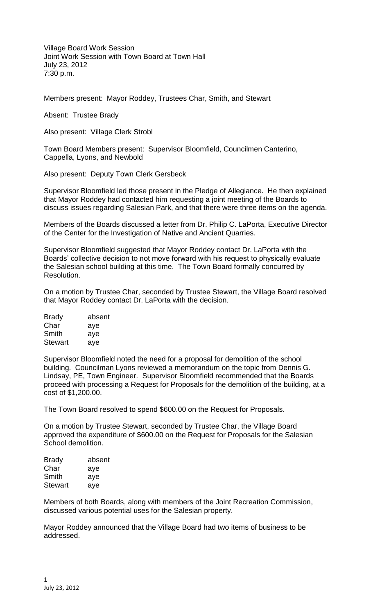Village Board Work Session Joint Work Session with Town Board at Town Hall July 23, 2012 7:30 p.m.

Members present: Mayor Roddey, Trustees Char, Smith, and Stewart

Absent: Trustee Brady

Also present: Village Clerk Strobl

Town Board Members present: Supervisor Bloomfield, Councilmen Canterino, Cappella, Lyons, and Newbold

Also present: Deputy Town Clerk Gersbeck

Supervisor Bloomfield led those present in the Pledge of Allegiance. He then explained that Mayor Roddey had contacted him requesting a joint meeting of the Boards to discuss issues regarding Salesian Park, and that there were three items on the agenda.

Members of the Boards discussed a letter from Dr. Philip C. LaPorta, Executive Director of the Center for the Investigation of Native and Ancient Quarries.

Supervisor Bloomfield suggested that Mayor Roddey contact Dr. LaPorta with the Boards' collective decision to not move forward with his request to physically evaluate the Salesian school building at this time. The Town Board formally concurred by Resolution.

On a motion by Trustee Char, seconded by Trustee Stewart, the Village Board resolved that Mayor Roddey contact Dr. LaPorta with the decision.

| <b>Brady</b>   | absent |
|----------------|--------|
| Char           | aye    |
| Smith          | aye    |
| <b>Stewart</b> | aye    |

Supervisor Bloomfield noted the need for a proposal for demolition of the school building. Councilman Lyons reviewed a memorandum on the topic from Dennis G. Lindsay, PE, Town Engineer. Supervisor Bloomfield recommended that the Boards proceed with processing a Request for Proposals for the demolition of the building, at a cost of \$1,200.00.

The Town Board resolved to spend \$600.00 on the Request for Proposals.

On a motion by Trustee Stewart, seconded by Trustee Char, the Village Board approved the expenditure of \$600.00 on the Request for Proposals for the Salesian School demolition.

| <b>Brady</b>   | absent |
|----------------|--------|
| Char           | aye    |
| Smith          | aye    |
| <b>Stewart</b> | aye    |

Members of both Boards, along with members of the Joint Recreation Commission, discussed various potential uses for the Salesian property.

Mayor Roddey announced that the Village Board had two items of business to be addressed.